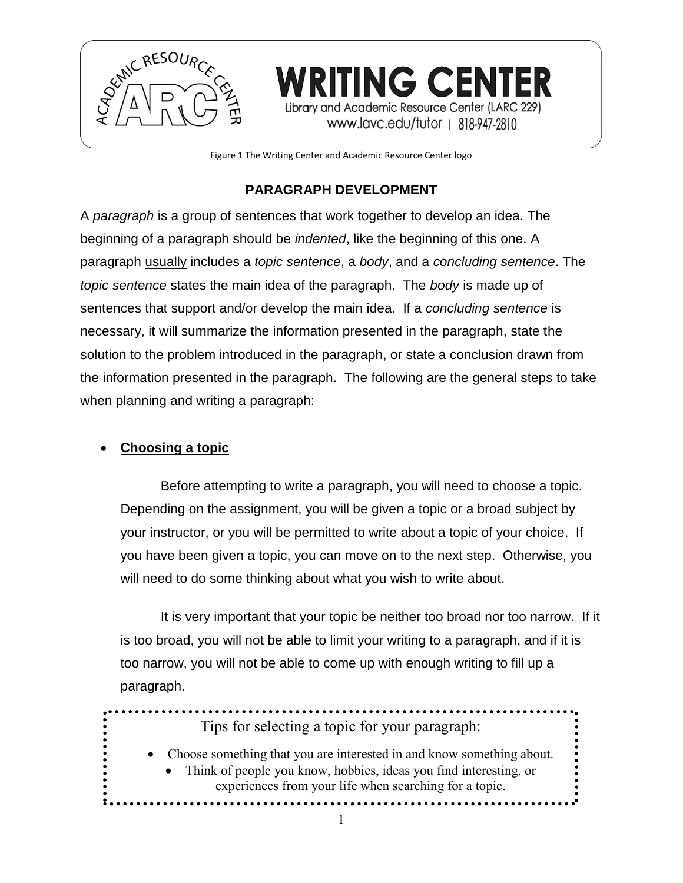

Figure 1 The Writing Center and Academic Resource Center logo

# **PARAGRAPH DEVELOPMENT**

A *paragraph* is a group of sentences that work together to develop an idea. The beginning of a paragraph should be *indented*, like the beginning of this one. A paragraph usually includes a *topic sentence*, a *body*, and a *concluding sentence*. The *topic sentence* states the main idea of the paragraph. The *body* is made up of sentences that support and/or develop the main idea. If a *concluding sentence* is necessary, it will summarize the information presented in the paragraph, state the solution to the problem introduced in the paragraph, or state a conclusion drawn from the information presented in the paragraph. The following are the general steps to take when planning and writing a paragraph:

# **Choosing a topic**

Before attempting to write a paragraph, you will need to choose a topic. Depending on the assignment, you will be given a topic or a broad subject by your instructor, or you will be permitted to write about a topic of your choice. If you have been given a topic, you can move on to the next step. Otherwise, you will need to do some thinking about what you wish to write about.

It is very important that your topic be neither too broad nor too narrow. If it is too broad, you will not be able to limit your writing to a paragraph, and if it is too narrow, you will not be able to come up with enough writing to fill up a paragraph.

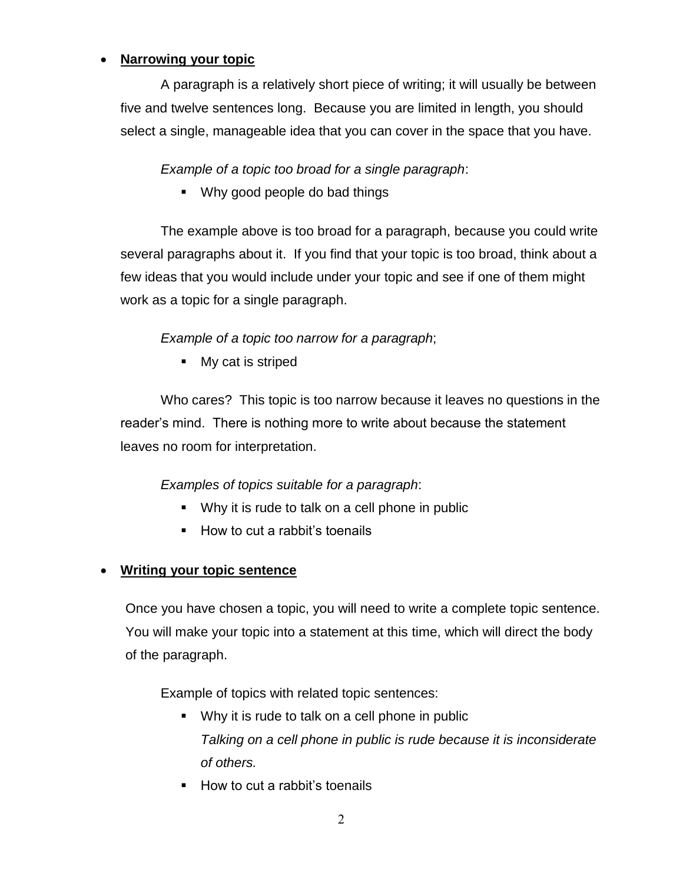## **Narrowing your topic**

A paragraph is a relatively short piece of writing; it will usually be between five and twelve sentences long. Because you are limited in length, you should select a single, manageable idea that you can cover in the space that you have.

*Example of a topic too broad for a single paragraph*:

Why good people do bad things

The example above is too broad for a paragraph, because you could write several paragraphs about it. If you find that your topic is too broad, think about a few ideas that you would include under your topic and see if one of them might work as a topic for a single paragraph.

## *Example of a topic too narrow for a paragraph*;

• My cat is striped

Who cares? This topic is too narrow because it leaves no questions in the reader's mind. There is nothing more to write about because the statement leaves no room for interpretation.

#### *Examples of topics suitable for a paragraph*:

- Why it is rude to talk on a cell phone in public
- How to cut a rabbit's toenails

#### **Writing your topic sentence**

Once you have chosen a topic, you will need to write a complete topic sentence. You will make your topic into a statement at this time, which will direct the body of the paragraph.

Example of topics with related topic sentences:

- Why it is rude to talk on a cell phone in public *Talking on a cell phone in public is rude because it is inconsiderate of others.*
- How to cut a rabbit's toenails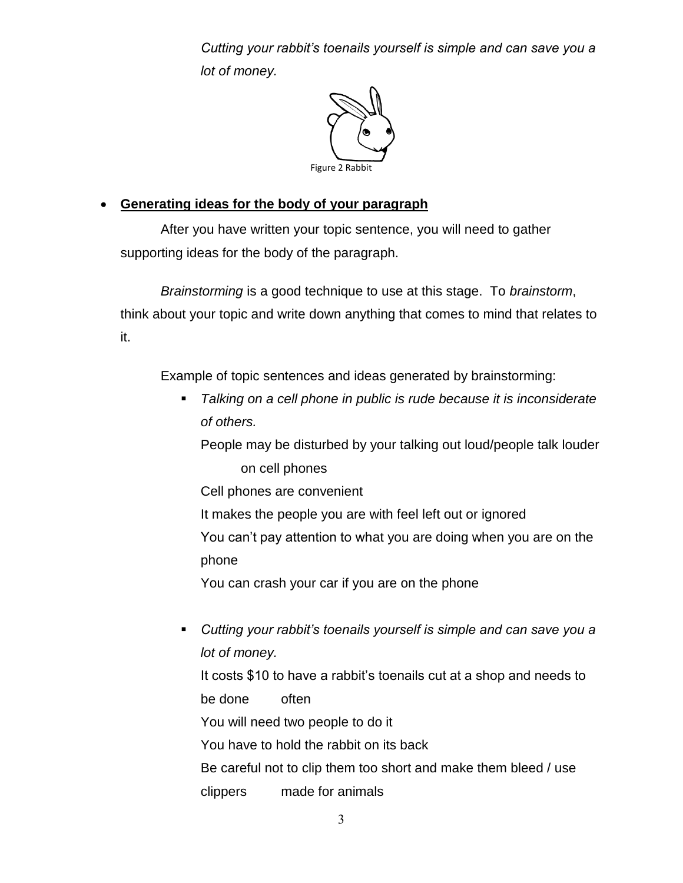*Cutting your rabbit's toenails yourself is simple and can save you a lot of money.*



## **Generating ideas for the body of your paragraph**

After you have written your topic sentence, you will need to gather supporting ideas for the body of the paragraph.

*Brainstorming* is a good technique to use at this stage. To *brainstorm*, think about your topic and write down anything that comes to mind that relates to it.

Example of topic sentences and ideas generated by brainstorming:

 *Talking on a cell phone in public is rude because it is inconsiderate of others.*

People may be disturbed by your talking out loud/people talk louder on cell phones

Cell phones are convenient

It makes the people you are with feel left out or ignored You can't pay attention to what you are doing when you are on the

phone

You can crash your car if you are on the phone

 *Cutting your rabbit's toenails yourself is simple and can save you a lot of money.*

It costs \$10 to have a rabbit's toenails cut at a shop and needs to be done often

You will need two people to do it

You have to hold the rabbit on its back

Be careful not to clip them too short and make them bleed / use

clippers made for animals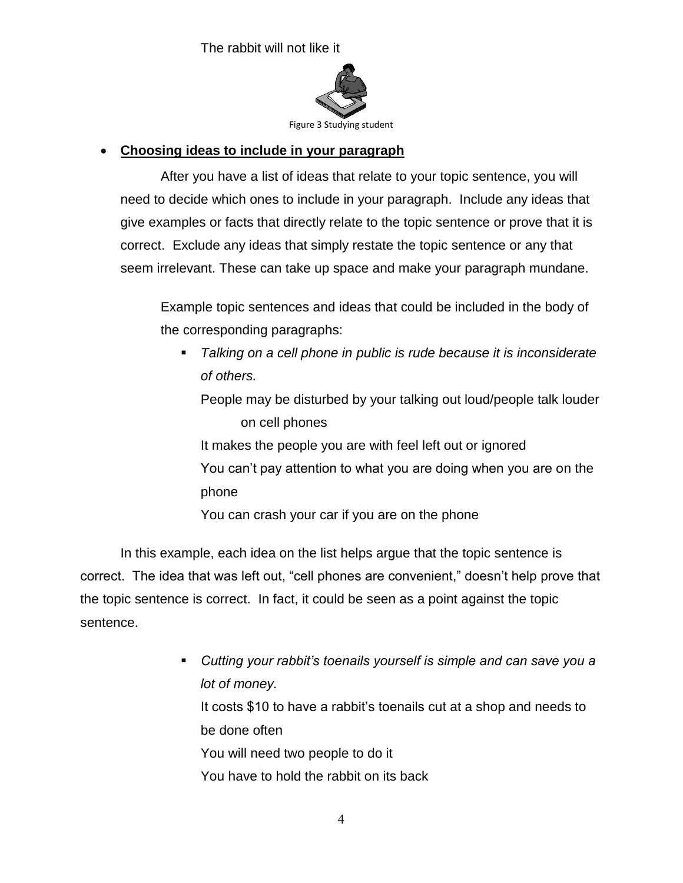The rabbit will not like it



# **Choosing ideas to include in your paragraph**

After you have a list of ideas that relate to your topic sentence, you will need to decide which ones to include in your paragraph. Include any ideas that give examples or facts that directly relate to the topic sentence or prove that it is correct. Exclude any ideas that simply restate the topic sentence or any that seem irrelevant. These can take up space and make your paragraph mundane.

Example topic sentences and ideas that could be included in the body of the corresponding paragraphs:

 *Talking on a cell phone in public is rude because it is inconsiderate of others.* People may be disturbed by your talking out loud/people talk louder on cell phones It makes the people you are with feel left out or ignored You can't pay attention to what you are doing when you are on the

phone

You can crash your car if you are on the phone

In this example, each idea on the list helps argue that the topic sentence is correct. The idea that was left out, "cell phones are convenient," doesn't help prove that the topic sentence is correct. In fact, it could be seen as a point against the topic sentence.

> *Cutting your rabbit's toenails yourself is simple and can save you a lot of money.* It costs \$10 to have a rabbit's toenails cut at a shop and needs to be done often You will need two people to do it You have to hold the rabbit on its back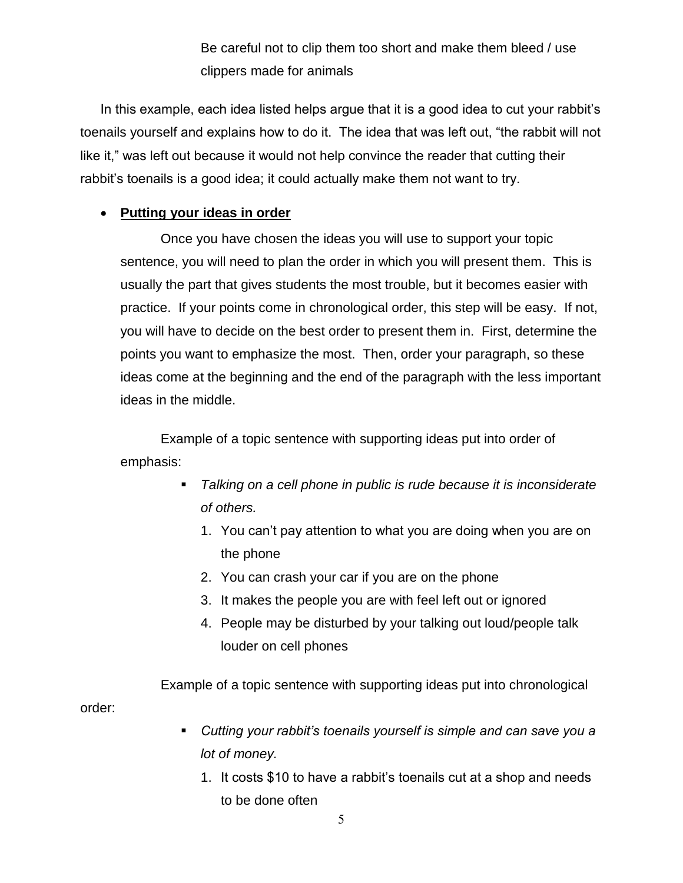Be careful not to clip them too short and make them bleed / use clippers made for animals

In this example, each idea listed helps argue that it is a good idea to cut your rabbit's toenails yourself and explains how to do it. The idea that was left out, "the rabbit will not like it," was left out because it would not help convince the reader that cutting their rabbit's toenails is a good idea; it could actually make them not want to try.

# **Putting your ideas in order**

order:

Once you have chosen the ideas you will use to support your topic sentence, you will need to plan the order in which you will present them. This is usually the part that gives students the most trouble, but it becomes easier with practice. If your points come in chronological order, this step will be easy. If not, you will have to decide on the best order to present them in. First, determine the points you want to emphasize the most. Then, order your paragraph, so these ideas come at the beginning and the end of the paragraph with the less important ideas in the middle.

Example of a topic sentence with supporting ideas put into order of emphasis:

- *Talking on a cell phone in public is rude because it is inconsiderate of others.*
	- 1. You can't pay attention to what you are doing when you are on the phone
	- 2. You can crash your car if you are on the phone
	- 3. It makes the people you are with feel left out or ignored
	- 4. People may be disturbed by your talking out loud/people talk louder on cell phones

Example of a topic sentence with supporting ideas put into chronological

- *Cutting your rabbit's toenails yourself is simple and can save you a lot of money.*
	- 1. It costs \$10 to have a rabbit's toenails cut at a shop and needs to be done often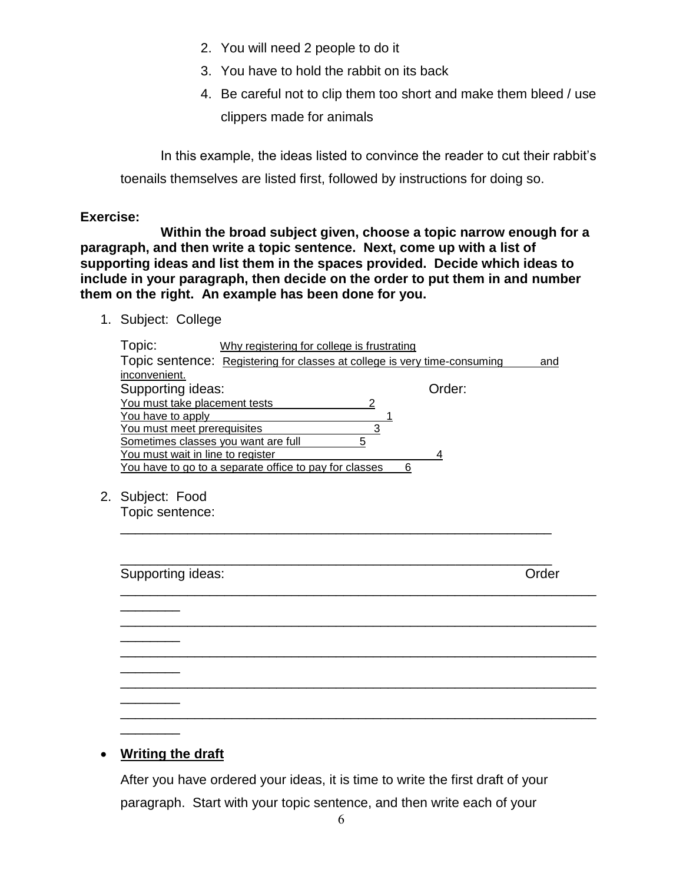- 2. You will need 2 people to do it
- 3. You have to hold the rabbit on its back
- 4. Be careful not to clip them too short and make them bleed / use clippers made for animals

In this example, the ideas listed to convince the reader to cut their rabbit's toenails themselves are listed first, followed by instructions for doing so.

#### **Exercise:**

**Within the broad subject given, choose a topic narrow enough for a paragraph, and then write a topic sentence. Next, come up with a list of supporting ideas and list them in the spaces provided. Decide which ideas to include in your paragraph, then decide on the order to put them in and number them on the right. An example has been done for you.**

1. Subject: College

| Topic:                              | Why registering for college is frustrating                                |   |        |     |
|-------------------------------------|---------------------------------------------------------------------------|---|--------|-----|
|                                     | Topic sentence: Registering for classes at college is very time-consuming |   |        | and |
| inconvenient.                       |                                                                           |   |        |     |
| Supporting ideas:                   |                                                                           |   | Order: |     |
| You must take placement tests       |                                                                           | 2 |        |     |
| You have to apply                   |                                                                           |   |        |     |
| You must meet prerequisites         |                                                                           |   |        |     |
| Sometimes classes you want are full |                                                                           | 5 |        |     |
| You must wait in line to register   |                                                                           |   |        |     |
|                                     | You have to go to a separate office to pay for classes                    |   |        |     |
|                                     |                                                                           |   |        |     |

\_\_\_\_\_\_\_\_\_\_\_\_\_\_\_\_\_\_\_\_\_\_\_\_\_\_\_\_\_\_\_\_\_\_\_\_\_\_\_\_\_\_\_\_\_\_\_\_\_\_\_\_\_\_\_\_\_\_

\_\_\_\_\_\_\_\_\_\_\_\_\_\_\_\_\_\_\_\_\_\_\_\_\_\_\_\_\_\_\_\_\_\_\_\_\_\_\_\_\_\_\_\_\_\_\_\_\_\_\_\_\_\_\_\_\_\_\_\_\_\_\_\_

\_\_\_\_\_\_\_\_\_\_\_\_\_\_\_\_\_\_\_\_\_\_\_\_\_\_\_\_\_\_\_\_\_\_\_\_\_\_\_\_\_\_\_\_\_\_\_\_\_\_\_\_\_\_\_\_\_\_\_\_\_\_\_\_

\_\_\_\_\_\_\_\_\_\_\_\_\_\_\_\_\_\_\_\_\_\_\_\_\_\_\_\_\_\_\_\_\_\_\_\_\_\_\_\_\_\_\_\_\_\_\_\_\_\_\_\_\_\_\_\_\_\_\_\_\_\_\_\_

\_\_\_\_\_\_\_\_\_\_\_\_\_\_\_\_\_\_\_\_\_\_\_\_\_\_\_\_\_\_\_\_\_\_\_\_\_\_\_\_\_\_\_\_\_\_\_\_\_\_\_\_\_\_\_\_\_\_\_\_\_\_\_\_

\_\_\_\_\_\_\_\_\_\_\_\_\_\_\_\_\_\_\_\_\_\_\_\_\_\_\_\_\_\_\_\_\_\_\_\_\_\_\_\_\_\_\_\_\_\_\_\_\_\_\_\_\_\_\_\_\_\_\_\_\_\_\_\_

2. Subject: Food

 $\overline{\phantom{a}}$ 

\_\_\_\_\_\_\_\_

 $\overline{\phantom{a}}$ 

\_\_\_\_\_\_\_\_

\_\_\_\_\_\_\_\_

Topic sentence:

Supporting ideas: Contract of Contract Contract of Contract Contract Contract Contract Contract Contract Contract Contract Contract Contract Contract Contract Contract Contract Contract Contract Contract Contract Contract

\_\_\_\_\_\_\_\_\_\_\_\_\_\_\_\_\_\_\_\_\_\_\_\_\_\_\_\_\_\_\_\_\_\_\_\_\_\_\_\_\_\_\_\_\_\_\_\_\_\_\_\_\_\_\_\_\_\_

## **Writing the draft**

After you have ordered your ideas, it is time to write the first draft of your paragraph. Start with your topic sentence, and then write each of your